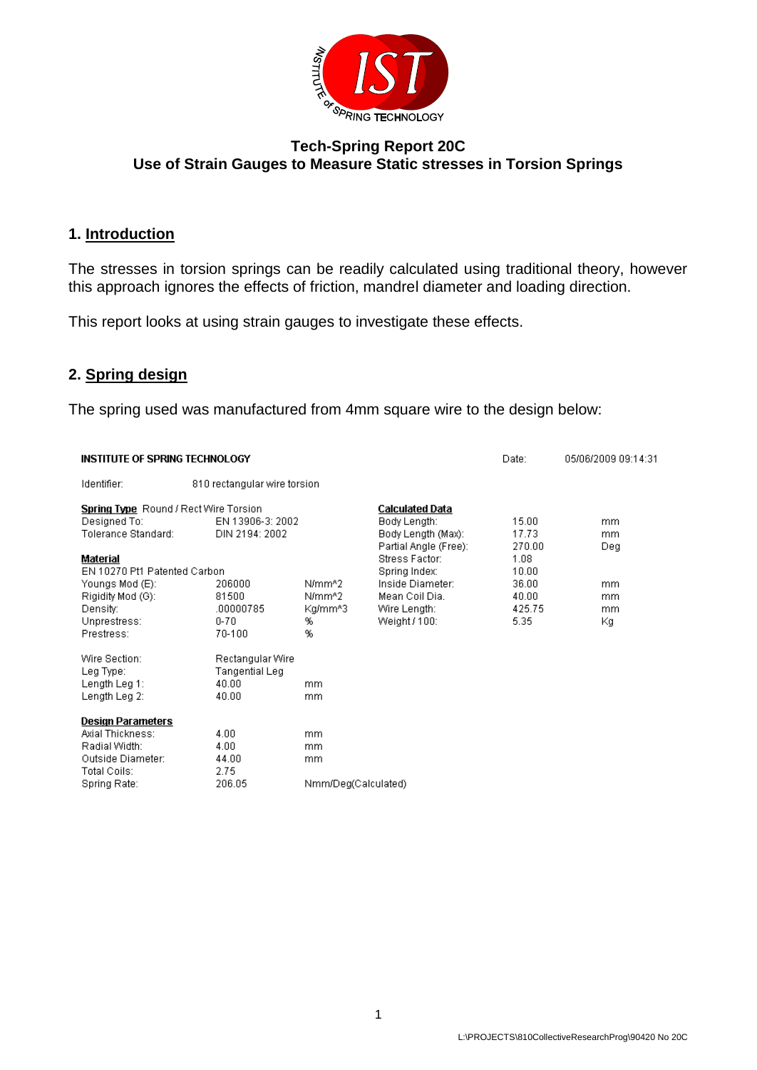

# **Tech-Spring Report 20C Use of Strain Gauges to Measure Static stresses in Torsion Springs**

# **1. Introduction**

The stresses in torsion springs can be readily calculated using traditional theory, however this approach ignores the effects of friction, mandrel diameter and loading direction.

This report looks at using strain gauges to investigate these effects.

# **2. Spring design**

The spring used was manufactured from 4mm square wire to the design below:

| <b>INSTITUTE OF SPRING TECHNOLOGY</b>        |                              |                     |                                        | Date:  | 05/06/2009 09:14:31 |
|----------------------------------------------|------------------------------|---------------------|----------------------------------------|--------|---------------------|
| Identifier:                                  | 810 rectangular wire torsion |                     |                                        |        |                     |
| <b>Spring Type</b> Round / Rect Wire Torsion | EN 13906-3: 2002             |                     | <b>Calculated Data</b><br>Body Length: | 15.00  |                     |
| Designed To:<br>Tolerance Standard:          | DIN 2194: 2002               |                     | Body Length (Max):                     | 17.73  | mm.<br>mm.          |
|                                              |                              |                     | Partial Angle (Free):                  | 270.00 | Deg                 |
| Material                                     |                              |                     | Stress Factor:                         | 1.08   |                     |
| EN 10270 Pt1 Patented Carbon                 |                              |                     | Spring Index:                          | 10.00  |                     |
| Youngs Mod (E):                              | 206000                       | N/mm <sup>4</sup> 2 | Inside Diameter:                       | 36.00  | mm.                 |
| Rigidity Mod (G):                            | 81500                        | N/mm^2              | Mean Coil Dia.                         | 40.00  | mm                  |
| Density:                                     | .00000785                    | Kg/mm^3             | Wire Length:                           | 425.75 | mm                  |
| Unprestress:                                 | $0 - 70$                     | %                   | Weight / 100:                          | 5.35   | Кg                  |
| Prestress:                                   | 70-100                       | %                   |                                        |        |                     |
| Wire Section:                                | Rectangular Wire             |                     |                                        |        |                     |
| Leg Type:                                    | <b>Tangential Leg</b>        |                     |                                        |        |                     |
| Length Leg 1:                                | 40.00                        | mm.                 |                                        |        |                     |
| Length Leg 2:                                | 40.00                        | mm.                 |                                        |        |                     |
| <b>Design Parameters</b>                     |                              |                     |                                        |        |                     |
| Axial Thickness:                             | 4.00                         | mm.                 |                                        |        |                     |
| Radial Width:                                | 4.00                         | mm.                 |                                        |        |                     |
| Outside Diameter:                            | 44.00                        | mm.                 |                                        |        |                     |
| Total Coils:                                 | 2.75                         |                     |                                        |        |                     |
| Spring Rate:                                 | 206.05                       | Nmm/Deg(Calculated) |                                        |        |                     |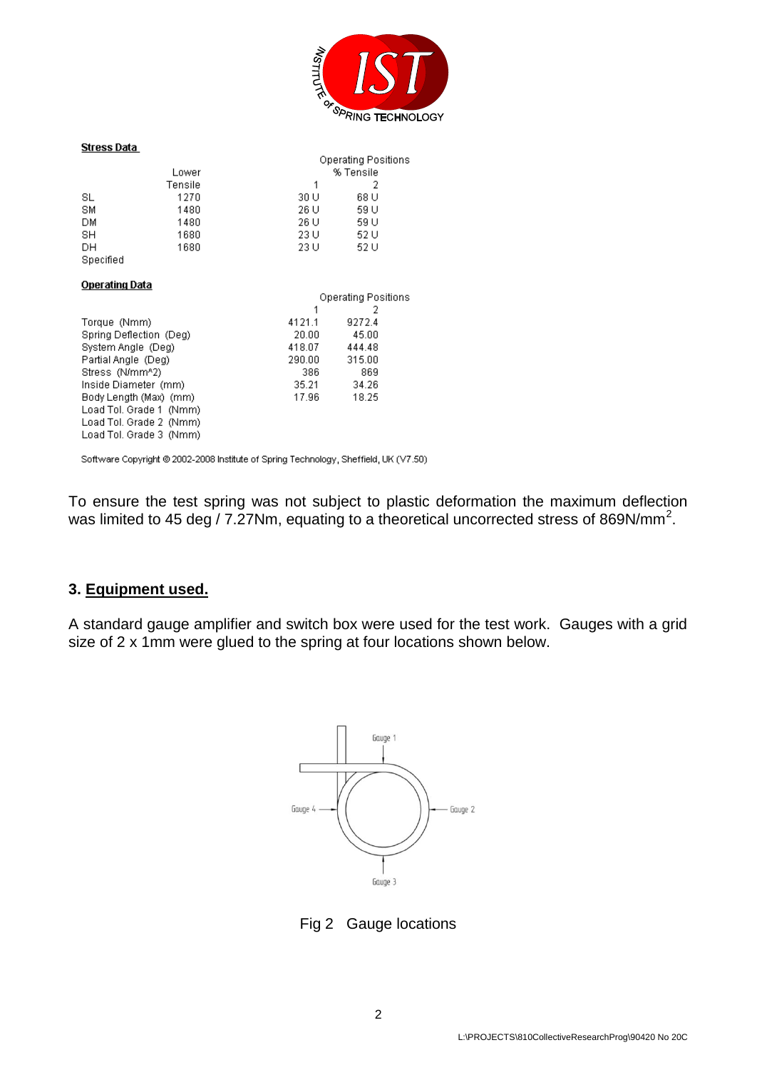

#### **Stress Data**

| Stress Data |         |      |                     |  |
|-------------|---------|------|---------------------|--|
|             |         |      | Operating Positions |  |
|             | Lower   |      | % Tensile           |  |
|             | Tensile | 1    | 2                   |  |
| SL          | 1270    | 30 U | 68 U                |  |
| SM          | 1480    | 26 U | 59 U                |  |
| DМ          | 1480    | 26 U | 59 U                |  |
| SH          | 1680    | 23 U | 52 U                |  |
| DН          | 1680    | 23 U | 52 U                |  |
| Specified   |         |      |                     |  |

#### **Operating Data**

|                         | Operating Positions |        |  |
|-------------------------|---------------------|--------|--|
|                         | 1                   | 2      |  |
| Torque (Nmm)            | 4121.1              | 9272.4 |  |
| Spring Deflection (Deg) | 20.00               | 45.00  |  |
| System Angle (Deg)      | 418.07              | 444.48 |  |
| Partial Angle (Deg)     | 290.00              | 315.00 |  |
| Stress (N/mm^2)         | 386                 | 869    |  |
| Inside Diameter (mm)    | 35.21               | 34.26  |  |
| Body Length (Max) (mm)  | 17.96               | 18.25  |  |
| Load Tol. Grade 1 (Nmm) |                     |        |  |
| Load Tol. Grade 2 (Nmm) |                     |        |  |
| Load Tol. Grade 3 (Nmm) |                     |        |  |
|                         |                     |        |  |

Software Copyright @ 2002-2008 Institute of Spring Technology, Sheffield, UK (V7.50)

To ensure the test spring was not subject to plastic deformation the maximum deflection was limited to 45 deg / 7.27Nm, equating to a theoretical uncorrected stress of 869N/mm<sup>2</sup>.

#### **3. Equipment used.**

A standard gauge amplifier and switch box were used for the test work. Gauges with a grid size of 2 x 1mm were glued to the spring at four locations shown below.



Fig 2 Gauge locations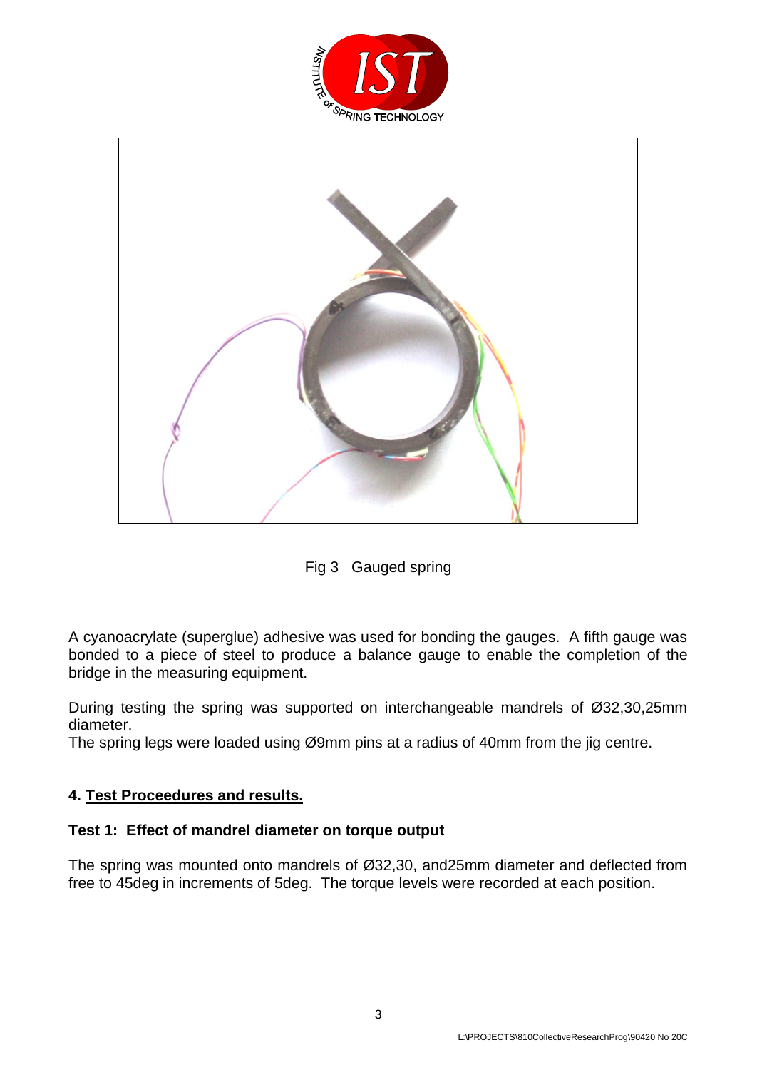



Fig 3 Gauged spring

A cyanoacrylate (superglue) adhesive was used for bonding the gauges. A fifth gauge was bonded to a piece of steel to produce a balance gauge to enable the completion of the bridge in the measuring equipment.

During testing the spring was supported on interchangeable mandrels of Ø32,30,25mm diameter.

The spring legs were loaded using Ø9mm pins at a radius of 40mm from the jig centre.

### **4. Test Proceedures and results.**

### **Test 1: Effect of mandrel diameter on torque output**

The spring was mounted onto mandrels of Ø32,30, and25mm diameter and deflected from free to 45deg in increments of 5deg. The torque levels were recorded at each position.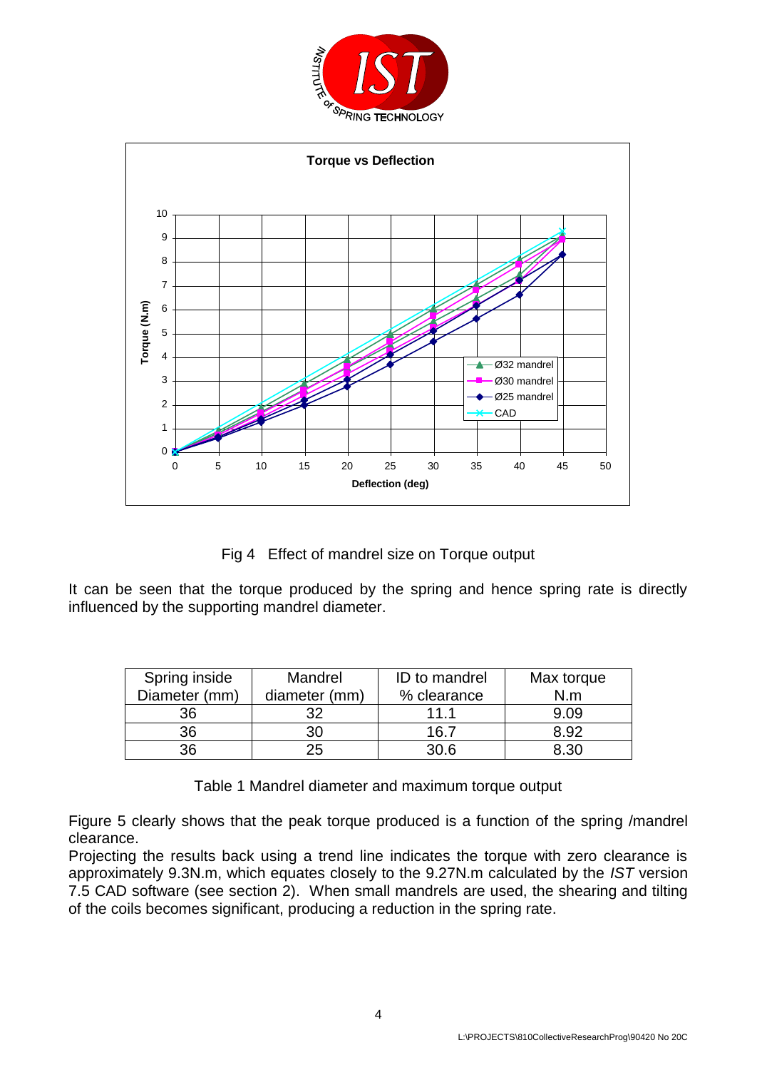



Fig 4 Effect of mandrel size on Torque output

It can be seen that the torque produced by the spring and hence spring rate is directly influenced by the supporting mandrel diameter.

| Spring inside | Mandrel       | ID to mandrel | Max torque  |
|---------------|---------------|---------------|-------------|
| Diameter (mm) | diameter (mm) | % clearance   | N.m         |
| 36            | つつ            | 11 1          | 9.09        |
| 36            | 30            | 16.7          | 8.92        |
| 36            | 25            | 30 R          | <b>9.30</b> |

Table 1 Mandrel diameter and maximum torque output

Figure 5 clearly shows that the peak torque produced is a function of the spring /mandrel clearance.

Projecting the results back using a trend line indicates the torque with zero clearance is approximately 9.3N.m, which equates closely to the 9.27N.m calculated by the *IST* version 7.5 CAD software (see section 2). When small mandrels are used, the shearing and tilting of the coils becomes significant, producing a reduction in the spring rate.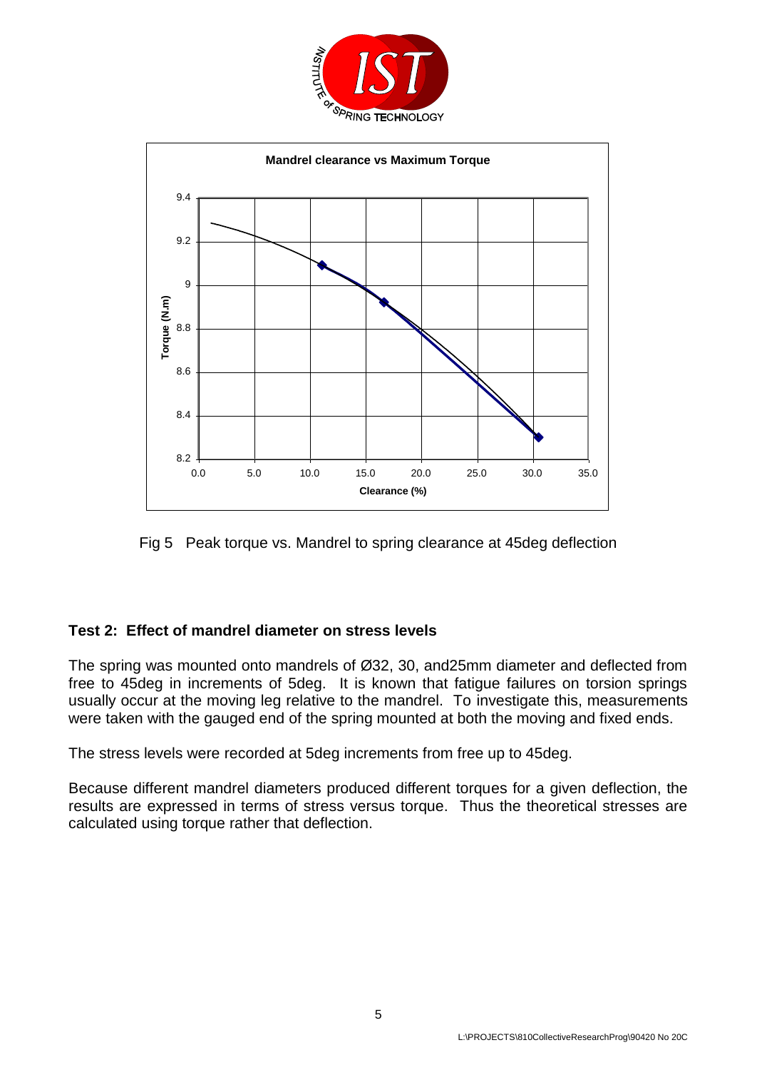



Fig 5 Peak torque vs. Mandrel to spring clearance at 45deg deflection

# **Test 2: Effect of mandrel diameter on stress levels**

The spring was mounted onto mandrels of Ø32, 30, and25mm diameter and deflected from free to 45deg in increments of 5deg. It is known that fatigue failures on torsion springs usually occur at the moving leg relative to the mandrel. To investigate this, measurements were taken with the gauged end of the spring mounted at both the moving and fixed ends.

The stress levels were recorded at 5deg increments from free up to 45deg.

Because different mandrel diameters produced different torques for a given deflection, the results are expressed in terms of stress versus torque. Thus the theoretical stresses are calculated using torque rather that deflection.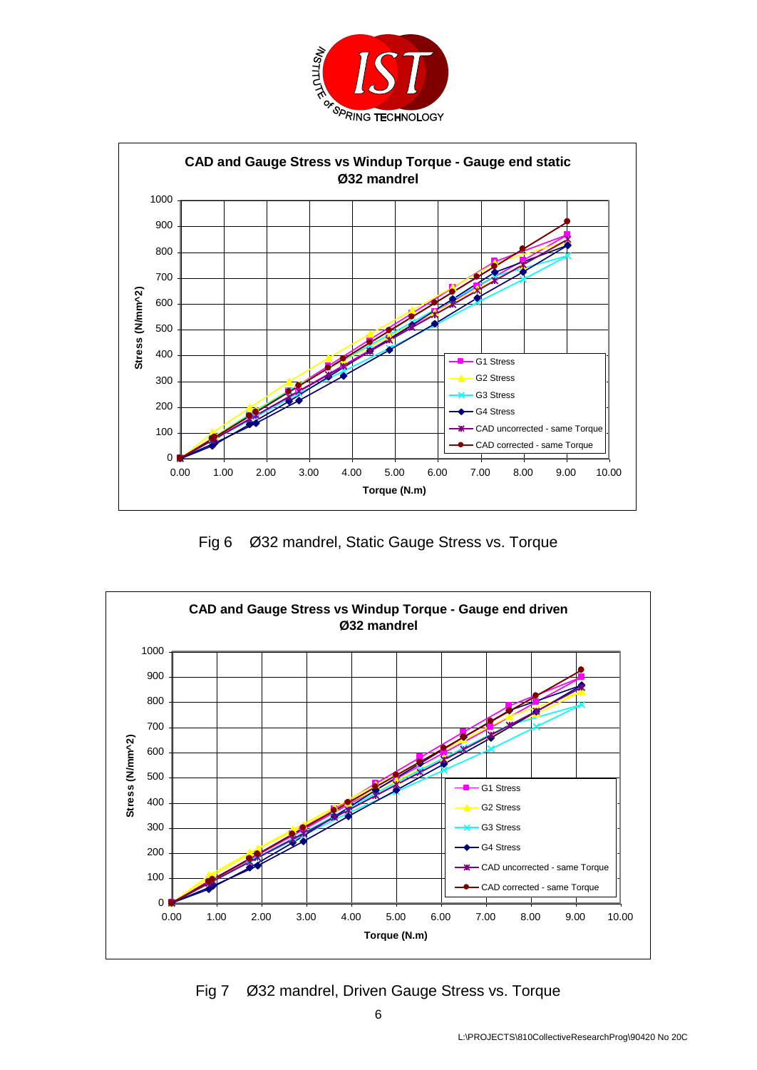



Fig 6 Ø32 mandrel, Static Gauge Stress vs. Torque



Fig 7 Ø32 mandrel, Driven Gauge Stress vs. Torque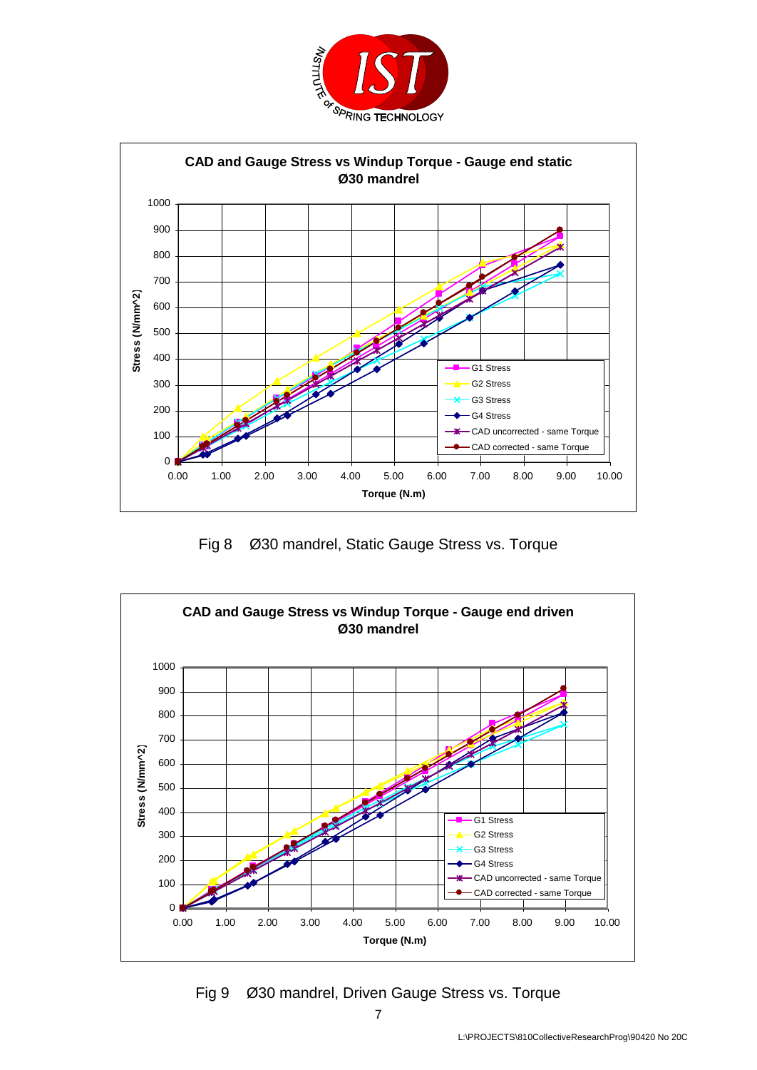



Fig 8 Ø30 mandrel, Static Gauge Stress vs. Torque



Fig 9 Ø30 mandrel, Driven Gauge Stress vs. Torque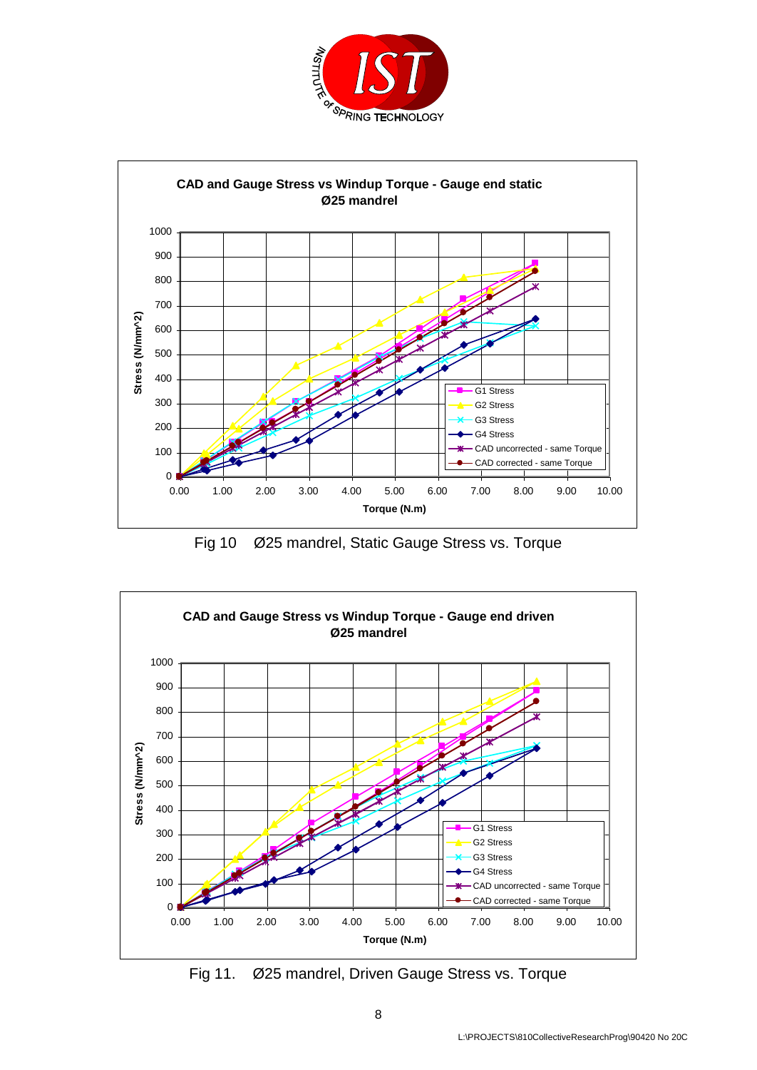



Fig 10 Ø25 mandrel, Static Gauge Stress vs. Torque



Fig 11. Ø25 mandrel, Driven Gauge Stress vs. Torque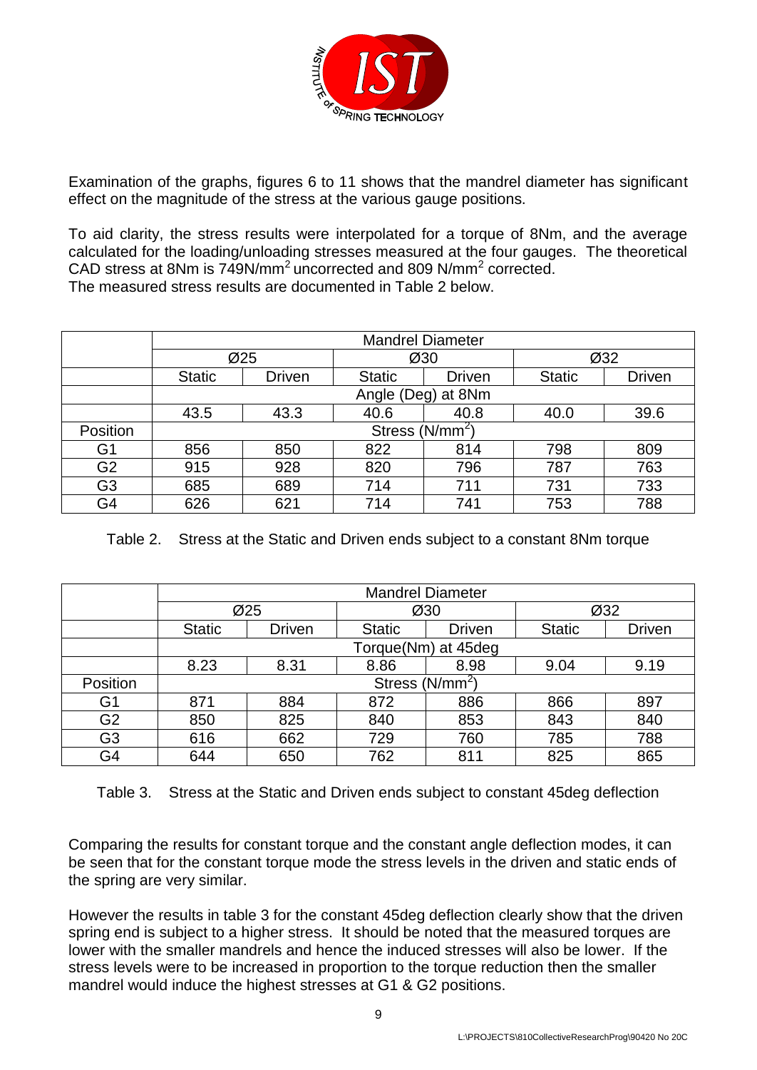

Examination of the graphs, figures 6 to 11 shows that the mandrel diameter has significant effect on the magnitude of the stress at the various gauge positions.

To aid clarity, the stress results were interpolated for a torque of 8Nm, and the average calculated for the loading/unloading stresses measured at the four gauges. The theoretical CAD stress at 8Nm is 749N/mm<sup>2</sup> uncorrected and 809 N/mm<sup>2</sup> corrected. The measured stress results are documented in Table 2 below.

|                | <b>Mandrel Diameter</b> |                           |               |                    |               |               |
|----------------|-------------------------|---------------------------|---------------|--------------------|---------------|---------------|
|                |                         | Ø25                       | Ø30           |                    | Ø32           |               |
|                | <b>Static</b>           | <b>Driven</b>             | <b>Static</b> | <b>Driven</b>      | <b>Static</b> | <b>Driven</b> |
|                |                         |                           |               | Angle (Deg) at 8Nm |               |               |
|                | 43.5                    | 43.3                      | 40.6          | 40.8               | 40.0          | 39.6          |
| Position       |                         | Stress (N/mm <sup>2</sup> |               |                    |               |               |
| G1             | 856                     | 850                       | 822           | 814                | 798           | 809           |
| G <sub>2</sub> | 915                     | 928                       | 820           | 796                | 787           | 763           |
| G3             | 685                     | 689                       | 714           | 711                | 731           | 733           |
| G4             | 626                     | 621                       | 714           | 741                | 753           | 788           |

Table 2. Stress at the Static and Driven ends subject to a constant 8Nm torque

|                | <b>Mandrel Diameter</b> |                             |               |               |               |               |  |
|----------------|-------------------------|-----------------------------|---------------|---------------|---------------|---------------|--|
|                |                         | Ø25                         |               | Ø30           |               | Ø32           |  |
|                | <b>Static</b>           | <b>Driven</b>               | <b>Static</b> | <b>Driven</b> | <b>Static</b> | <b>Driven</b> |  |
|                |                         | Torque(Nm) at 45deg         |               |               |               |               |  |
|                | 8.23                    | 8.31                        | 8.86          | 8.98          | 9.04          | 9.19          |  |
| Position       |                         | Stress (N/mm <sup>2</sup> ) |               |               |               |               |  |
| G1             | 871                     | 884                         | 872           | 886           | 866           | 897           |  |
| G <sub>2</sub> | 850                     | 825                         | 840           | 853           | 843           | 840           |  |
| G <sub>3</sub> | 616                     | 662                         | 729           | 760           | 785           | 788           |  |
| G4             | 644                     | 650                         | 762           | 811           | 825           | 865           |  |

Table 3. Stress at the Static and Driven ends subject to constant 45deg deflection

Comparing the results for constant torque and the constant angle deflection modes, it can be seen that for the constant torque mode the stress levels in the driven and static ends of the spring are very similar.

However the results in table 3 for the constant 45deg deflection clearly show that the driven spring end is subject to a higher stress. It should be noted that the measured torques are lower with the smaller mandrels and hence the induced stresses will also be lower. If the stress levels were to be increased in proportion to the torque reduction then the smaller mandrel would induce the highest stresses at G1 & G2 positions.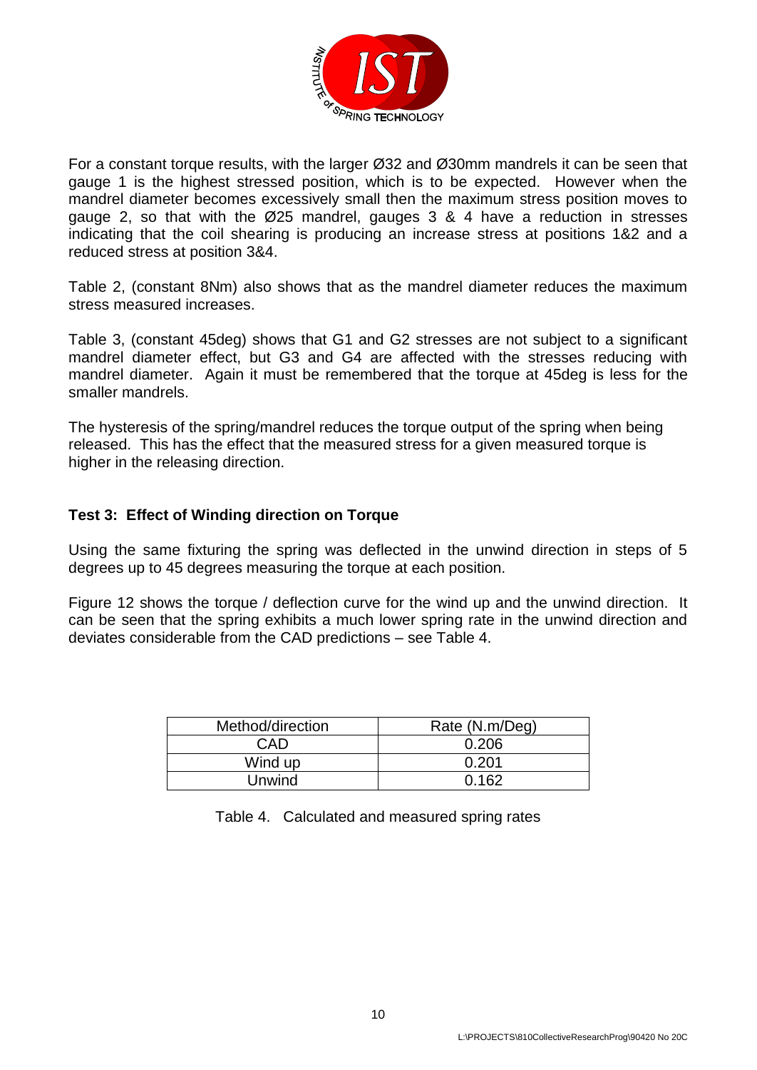

For a constant torque results, with the larger Ø32 and Ø30mm mandrels it can be seen that gauge 1 is the highest stressed position, which is to be expected. However when the mandrel diameter becomes excessively small then the maximum stress position moves to gauge 2, so that with the Ø25 mandrel, gauges 3 & 4 have a reduction in stresses indicating that the coil shearing is producing an increase stress at positions 1&2 and a reduced stress at position 3&4.

Table 2, (constant 8Nm) also shows that as the mandrel diameter reduces the maximum stress measured increases.

Table 3, (constant 45deg) shows that G1 and G2 stresses are not subject to a significant mandrel diameter effect, but G3 and G4 are affected with the stresses reducing with mandrel diameter. Again it must be remembered that the torque at 45deg is less for the smaller mandrels.

The hysteresis of the spring/mandrel reduces the torque output of the spring when being released. This has the effect that the measured stress for a given measured torque is higher in the releasing direction.

### **Test 3: Effect of Winding direction on Torque**

Using the same fixturing the spring was deflected in the unwind direction in steps of 5 degrees up to 45 degrees measuring the torque at each position.

Figure 12 shows the torque / deflection curve for the wind up and the unwind direction. It can be seen that the spring exhibits a much lower spring rate in the unwind direction and deviates considerable from the CAD predictions – see Table 4.

| Method/direction | Rate (N.m/Deg) |  |
|------------------|----------------|--|
| CAD              | 0.206          |  |
| Wind up          | 0.201          |  |
| Unwind           | 0.162          |  |

|  | Table 4. Calculated and measured spring rates |  |  |  |  |
|--|-----------------------------------------------|--|--|--|--|
|--|-----------------------------------------------|--|--|--|--|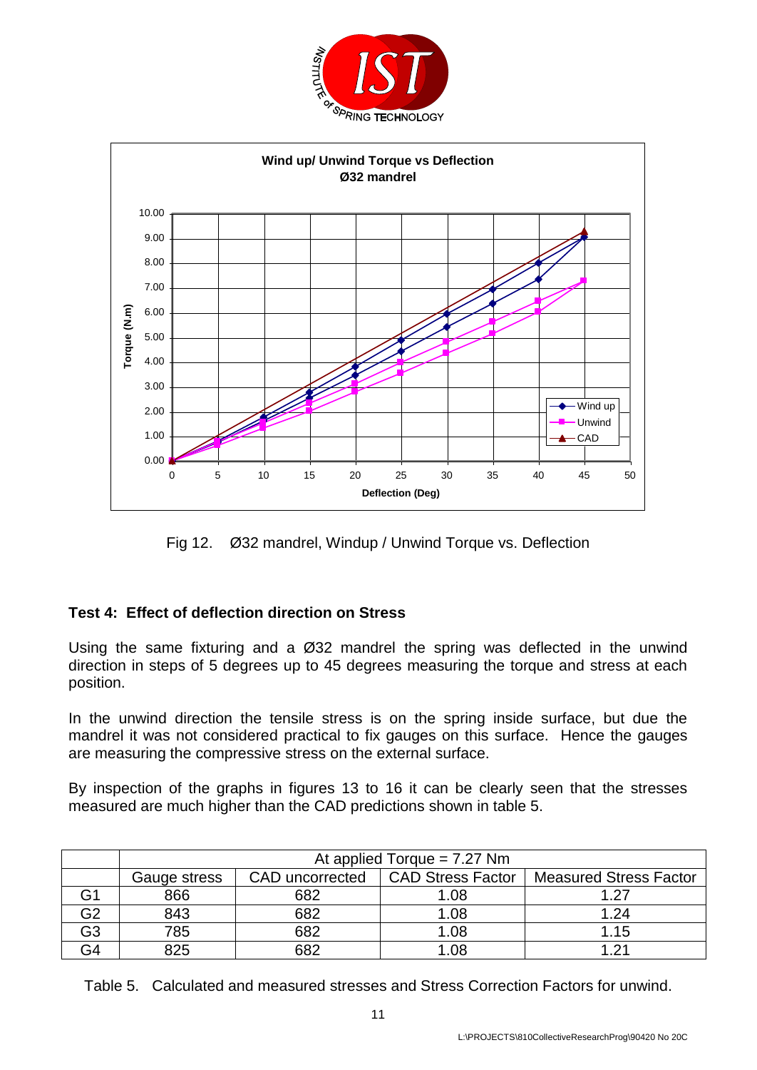



Fig 12. Ø32 mandrel, Windup / Unwind Torque vs. Deflection

# **Test 4: Effect of deflection direction on Stress**

Using the same fixturing and a Ø32 mandrel the spring was deflected in the unwind direction in steps of 5 degrees up to 45 degrees measuring the torque and stress at each position.

In the unwind direction the tensile stress is on the spring inside surface, but due the mandrel it was not considered practical to fix gauges on this surface. Hence the gauges are measuring the compressive stress on the external surface.

By inspection of the graphs in figures 13 to 16 it can be clearly seen that the stresses measured are much higher than the CAD predictions shown in table 5.

|    | At applied Torque = $7.27$ Nm |                 |                          |                               |  |  |
|----|-------------------------------|-----------------|--------------------------|-------------------------------|--|--|
|    | Gauge stress                  | CAD uncorrected | <b>CAD Stress Factor</b> | <b>Measured Stress Factor</b> |  |  |
|    | 866                           | 682             | 1.08                     | 1 27                          |  |  |
| G2 | 843                           | 682             | 1.08                     | 1.24                          |  |  |
| G3 | 785                           | 682             | 1.08                     | 1.15                          |  |  |
| G4 | 825                           | 682             | 1.08                     | - 21                          |  |  |

Table 5. Calculated and measured stresses and Stress Correction Factors for unwind.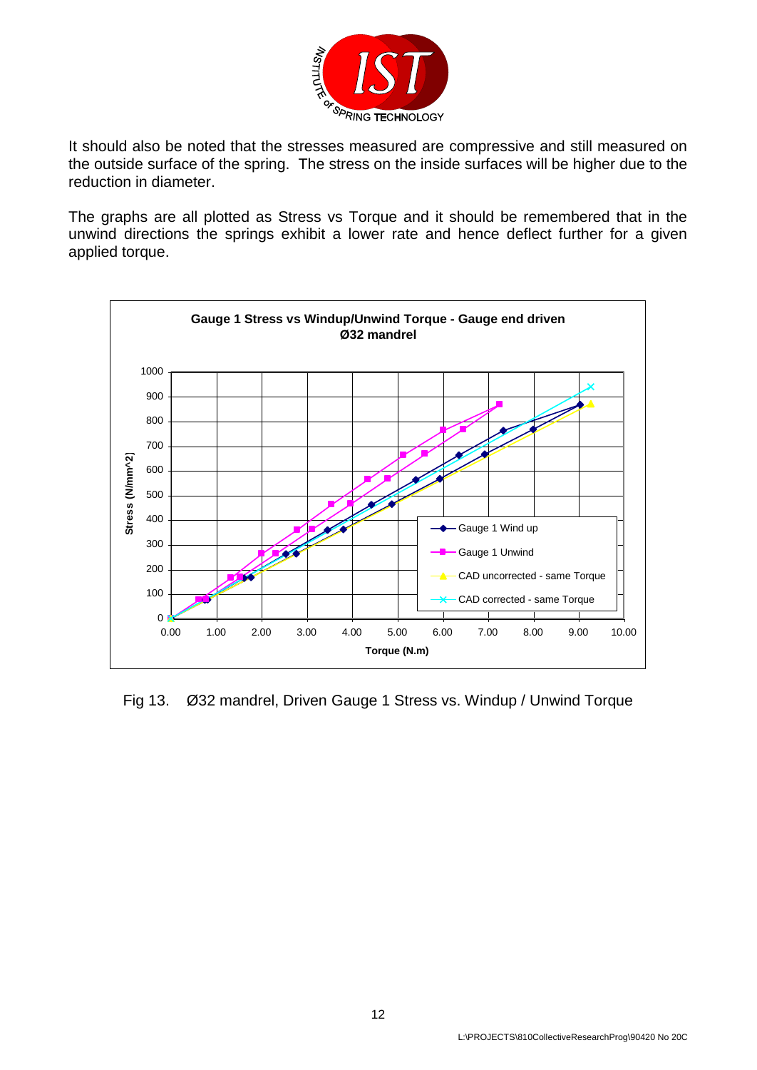

It should also be noted that the stresses measured are compressive and still measured on the outside surface of the spring. The stress on the inside surfaces will be higher due to the reduction in diameter.

The graphs are all plotted as Stress vs Torque and it should be remembered that in the unwind directions the springs exhibit a lower rate and hence deflect further for a given applied torque.



Fig 13. Ø32 mandrel, Driven Gauge 1 Stress vs. Windup / Unwind Torque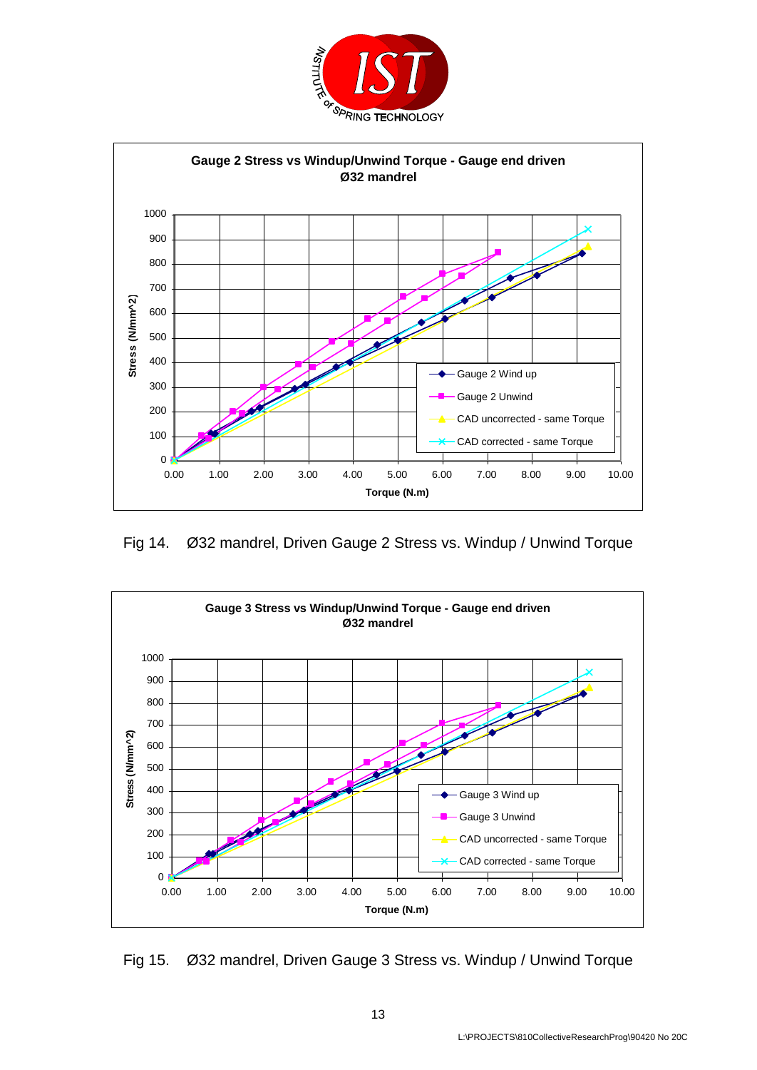



Fig 14. Ø32 mandrel, Driven Gauge 2 Stress vs. Windup / Unwind Torque



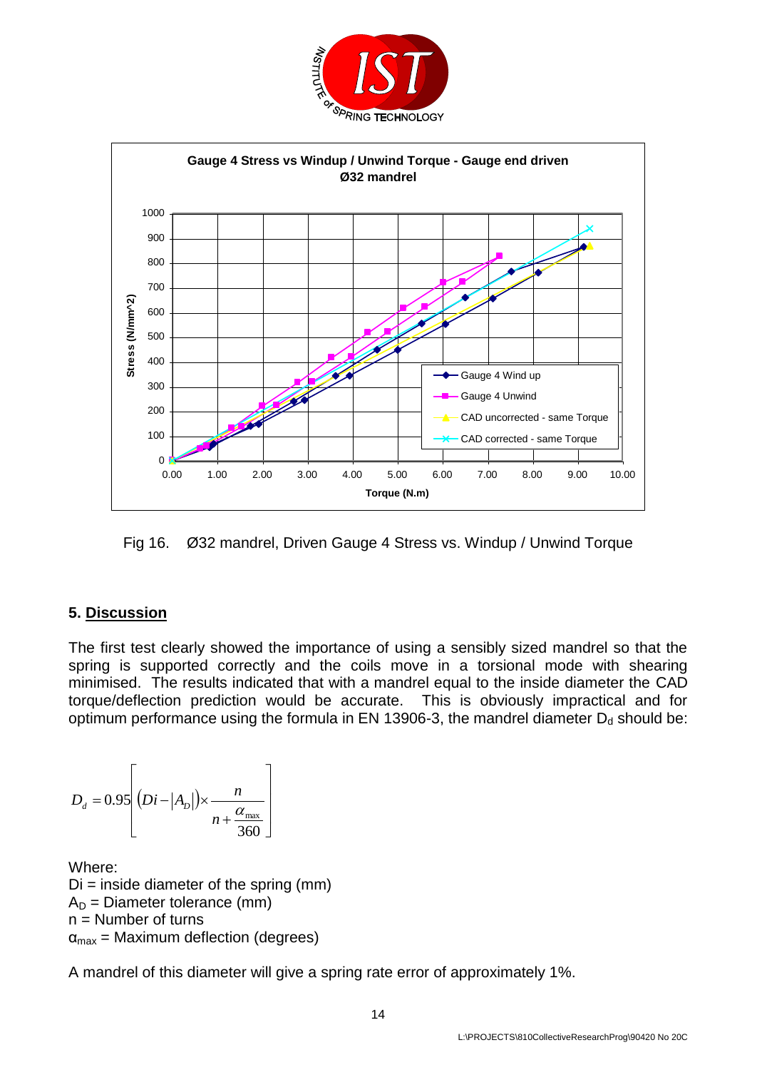



Fig 16. Ø32 mandrel, Driven Gauge 4 Stress vs. Windup / Unwind Torque

# **5. Discussion**

The first test clearly showed the importance of using a sensibly sized mandrel so that the spring is supported correctly and the coils move in a torsional mode with shearing minimised. The results indicated that with a mandrel equal to the inside diameter the CAD torque/deflection prediction would be accurate. This is obviously impractical and for optimum performance using the formula in EN 13906-3, the mandrel diameter  $D_d$  should be:

$$
D_d = 0.95 \left[ (Di - |A_D|) \times \frac{n}{n + \frac{\alpha_{\text{max}}}{360}} \right]
$$

Where:  $Di = inside diameter of the spring (mm)$  $A_D$  = Diameter tolerance (mm) n = Number of turns  $\alpha_{\text{max}}$  = Maximum deflection (degrees)

A mandrel of this diameter will give a spring rate error of approximately 1%.